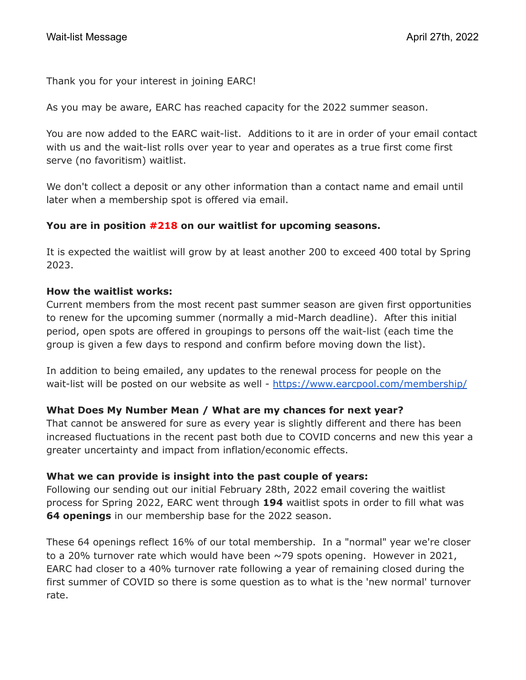Thank you for your interest in joining EARC!

As you may be aware, EARC has reached capacity for the 2022 summer season.

You are now added to the EARC wait-list. Additions to it are in order of your email contact with us and the wait-list rolls over year to year and operates as a true first come first serve (no favoritism) waitlist.

We don't collect a deposit or any other information than a contact name and email until later when a membership spot is offered via email.

### **You are in position #218 on our waitlist for upcoming seasons.**

It is expected the waitlist will grow by at least another 200 to exceed 400 total by Spring 2023.

### **How the waitlist works:**

Current members from the most recent past summer season are given first opportunities to renew for the upcoming summer (normally a mid-March deadline). After this initial period, open spots are offered in groupings to persons off the wait-list (each time the group is given a few days to respond and confirm before moving down the list).

In addition to being emailed, any updates to the renewal process for people on the wait-list will be posted on our website as well - <https://www.earcpool.com/membership/>

# **What Does My Number Mean / What are my chances for next year?**

That cannot be answered for sure as every year is slightly different and there has been increased fluctuations in the recent past both due to COVID concerns and new this year a greater uncertainty and impact from inflation/economic effects.

### **What we can provide is insight into the past couple of years:**

Following our sending out our initial February 28th, 2022 email covering the waitlist process for Spring 2022, EARC went through **194** waitlist spots in order to fill what was **64 openings** in our membership base for the 2022 season.

These 64 openings reflect 16% of our total membership. In a "normal" year we're closer to a 20% turnover rate which would have been  $\sim$ 79 spots opening. However in 2021, EARC had closer to a 40% turnover rate following a year of remaining closed during the first summer of COVID so there is some question as to what is the 'new normal' turnover rate.